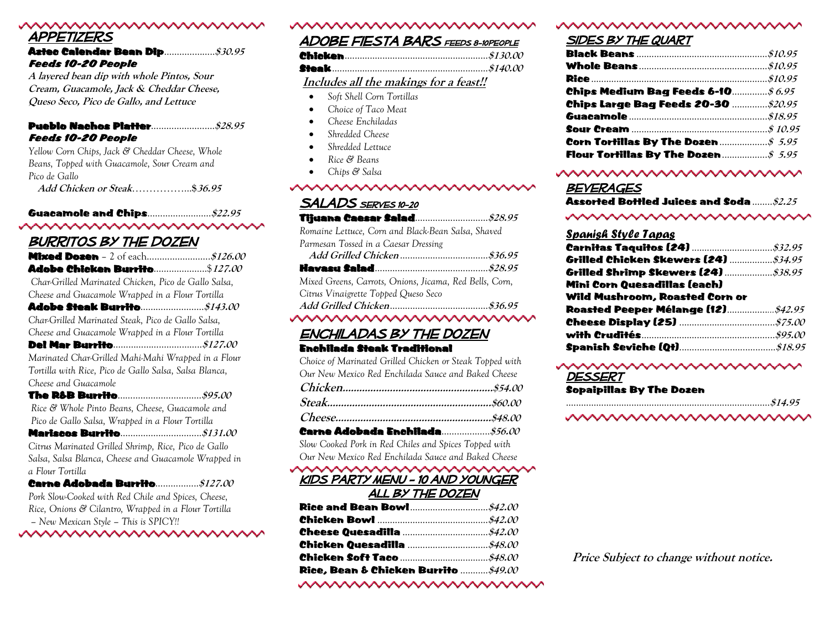# Appetizers

| <b>Feeds 10-20 People</b> |  |
|---------------------------|--|

**A layered bean dip with whole Pintos, Sour Cream, Guacamole, Jack & Cheddar Cheese, Queso Seco, Pico de Gallo, and Lettuce**

#### Pueblo Nachos Platter…………………….**\$28.95** Feeds 10-20 People

*Yellow Corn Chips, Jack & Cheddar Cheese, Whole Beans, Topped with Guacamole, Sour Cream and Pico de Gallo* **Add Chicken or Steak**……………...**\$36.95**

Guacamole and Chips…………………….**\$22.95** wwwwwwwwwww

## **BURRITOS BY THE DOZEN**

| Adobe Chicken Burrito\$127.00                          |  |
|--------------------------------------------------------|--|
| Char-Grilled Marinated Chicken, Pico de Gallo Salsa,   |  |
| Cheese and Guacamole Wrapped in a Flour Tortilla       |  |
|                                                        |  |
| Char-Grilled Marinated Steak, Pico de Gallo Salsa,     |  |
| Cheese and Guacamole Wrapped in a Flour Tortilla       |  |
|                                                        |  |
| Marinated Char-Grilled Mahi-Mahi Wrapped in a Flour    |  |
| Tortilla with Rice, Pico de Gallo Salsa, Salsa Blanca, |  |
| Cheese and Guacamole                                   |  |
|                                                        |  |
| Rice & Whole Pinto Beans, Cheese, Guacamole and        |  |
| Pico de Gallo Salsa, Wrapped in a Flour Tortilla       |  |
|                                                        |  |
| Citrus Marinated Grilled Shrimp, Rice, Pico de Gallo   |  |
| Salsa, Salsa Blanca, Cheese and Guacamole Wrapped in   |  |
| a Flour Tortilla                                       |  |
| Carne Adobada Burrito $$127.00$                        |  |
| Pork Slow-Cooked with Red Chile and Spices, Cheese,    |  |

*Rice, Onions & Cilantro, Wrapped in a Flour Tortilla – New Mexican Style – This is SPICY!!*

wwwwwwwwww

### Adobe Fiesta Bars Feeds 8-10People

#### **Includes all the makings for a feast!!**

- *Soft Shell Corn Tortillas*
- *Choice of Taco Meat*
- *Cheese Enchiladas*
- *Shredded Cheese*
- *Shredded Lettuce*
- *Rice & Beans*
- *Chips & Salsa*

### wwww

| <b>SALADS</b> SERVES 10-20                              |  |
|---------------------------------------------------------|--|
|                                                         |  |
| Romaine Lettuce, Corn and Black-Bean Salsa, Shaved      |  |
| Parmesan Tossed in a Caesar Dressing                    |  |
|                                                         |  |
|                                                         |  |
| Mixed Greens, Carrots, Onions, Jicama, Red Bells, Corn, |  |
| Citrus Vinaigrette Topped Queso Seco                    |  |
|                                                         |  |

#### wwwwwwwwwww

### Enchiladas By The Dozen Enchilada Steak Traditional

*Choice of Marinated Grilled Chicken or Steak Topped with Our New Mexico Red Enchilada Sauce and Baked Cheese* **Chicken………………………….……………….….\$54.00 Steak……………………………..………………..….\$60.00**

*Slow Cooked Pork in Red Chiles and Spices Topped with Our New Mexico Red Enchilada Sauce and Baked Cheese*

#### wwwwwwwwwwww Kids Party menu - 10 and younger

#### All By The Dozen

| Rice, Bean & Chicken Burrito ……… $\cancel{s49.00}$ |  |
|----------------------------------------------------|--|

#### ~~~~~~~~~~~~~~~~~~~~

#### wwwwww

#### SIDES BY THE QUART

| Chips Medium Bag Feeds 6–10 $$6.95$                                    |  |
|------------------------------------------------------------------------|--|
| <b>Chips Large Bag Feeds 20-30 \$20.95</b>                             |  |
|                                                                        |  |
|                                                                        |  |
| Corn Tortillas By The Dozen $\ldots \ldots \ldots \ldots \qquad$ 5.95  |  |
| Flour Tortillas By The Dozen $\ldots \ldots \ldots \qquad \qquad$ 5.95 |  |

#### wwwwwwww

#### **BEVERAGES**

| Assorted Bottled Juices and Soda \$2.25 |  |  |  |
|-----------------------------------------|--|--|--|
| ~~~~~~~~~~~~~~~~~~~~~                   |  |  |  |

#### *Spanish Style Tapas*

| Mini Corn Quesadillas (each)                      |  |
|---------------------------------------------------|--|
| Wild Mushroom, Roasted Corn or                    |  |
| Roasted Peeper Mélange (12) <u>manument</u> 42.95 |  |
|                                                   |  |
|                                                   |  |
|                                                   |  |

#### wwwwwwwww

Dessert

Sopaipillas By The Dozen

...........................................................................……**\$14.95**

wwwwwwwwwww

**Price Subject to change without notice.**